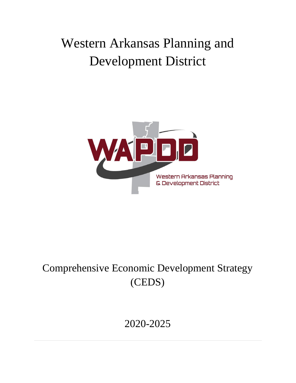# Western Arkansas Planning and Development District



## Comprehensive Economic Development Strategy (CEDS)

# 2020-2025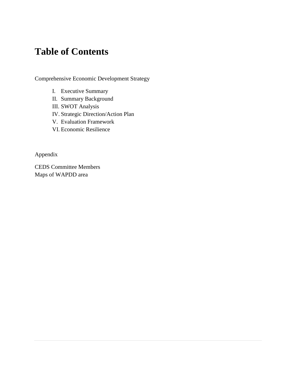### **Table of Contents**

Comprehensive Economic Development Strategy

- I. Executive Summary
- II. Summary Background
- III. SWOT Analysis
- IV. Strategic Direction/Action Plan
- V. Evaluation Framework
- VI. Economic Resilience

Appendix

CEDS Committee Members Maps of WAPDD area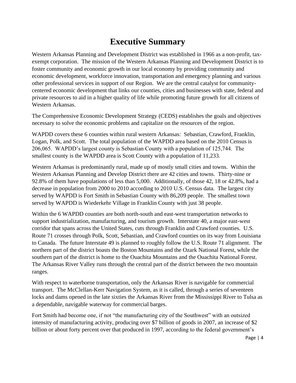### **Executive Summary**

Western Arkansas Planning and Development District was established in 1966 as a non-profit, taxexempt corporation. The mission of the Western Arkansas Planning and Development District is to foster community and economic growth in our local economy by providing community and economic development, workforce innovation, transportation and emergency planning and various other professional services in support of our Region. We are the central catalyst for communitycentered economic development that links our counties, cities and businesses with state, federal and private resources to aid in a higher quality of life while promoting future growth for all citizens of Western Arkansas.

The Comprehensive Economic Development Strategy (CEDS) establishes the goals and objectives necessary to solve the economic problems and capitalize on the resources of the region.

WAPDD covers these 6 counties within rural western Arkansas: Sebastian, Crawford, Franklin, Logan, Polk, and Scott. The total population of the WAPDD area based on the 2010 Census is 206,065. WAPDD's largest county is Sebastian County with a population of 125,744. The smallest county is the WAPDD area is Scott County with a population of 11,233.

Western Arkansas is predominantly rural, made up of mostly small cities and towns. Within the Western Arkansas Planning and Develop District there are 42 cities and towns. Thirty-nine or 92.8% of them have populations of less than 5,000. Additionally, of those 42, 18 or 42.8%, had a decrease in population from 2000 to 2010 according to 2010 U.S. Census data. The largest city served by WAPDD is Fort Smith in Sebastian County with 86,209 people. The smallest town served by WAPDD is Wiederkehr Village in Franklin County with just 38 people.

Within the 6 WAPDD counties are both north-south and east-west transportation networks to support industrialization, manufacturing, and tourism growth. Interstate 40, a major east-west corridor that spans across the United States, cuts through Franklin and Crawford counties. U.S. Route 71 crosses through Polk, Scott, Sebastian, and Crawford counties on its way from Louisiana to Canada. The future Interstate 49 is planned to roughly follow the U.S. Route 71 alignment. The northern part of the district boasts the Boston Mountains and the Ozark National Forest, while the southern part of the district is home to the Ouachita Mountains and the Ouachita National Forest. The Arkansas River Valley runs through the central part of the district between the two mountain ranges.

With respect to waterborne transportation, only the Arkansas River is navigable for commercial transport. The McClellan-Kerr Navigation System, as it is called, through a series of seventeen locks and dams opened in the late sixties the Arkansas River from the Mississippi River to Tulsa as a dependable, navigable waterway for commercial barges.

Fort Smith had become one, if not "the manufacturing city of the Southwest" with an outsized intensity of manufacturing activity, producing over \$7 billion of goods in 2007, an increase of \$2 billion or about forty percent over that produced in 1997, according to the federal government's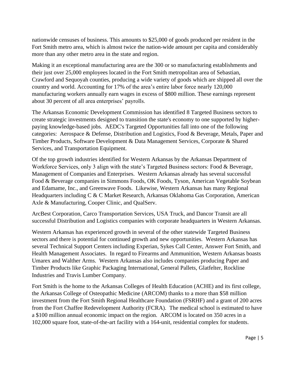nationwide censuses of business. This amounts to \$25,000 of goods produced per resident in the Fort Smith metro area, which is almost twice the nation-wide amount per capita and considerably more than any other metro area in the state and region.

Making it an exceptional manufacturing area are the 300 or so manufacturing establishments and their just over 25,000 employees located in the Fort Smith metropolitan area of Sebastian, Crawford and Sequoyah counties, producing a wide variety of goods which are shipped all over the country and world. Accounting for 17% of the area's entire labor force nearly 120,000 manufacturing workers annually earn wages in excess of \$800 million. These earnings represent about 30 percent of all area enterprises' payrolls.

The Arkansas Economic Development Commission has identified 8 Targeted Business sectors to create strategic investments designed to transition the state's economy to one supported by higherpaying knowledge-based jobs. AEDC's Targeted Opportunities fall into one of the following categories: Aerospace & Defense, Distribution and Logistics, Food & Beverage, Metals, Paper and Timber Products, Software Development & Data Management Services, Corporate & Shared Services, and Transportation Equipment.

Of the top growth industries identified for Western Arkansas by the Arkansas Department of Workforce Services, only 3 align with the state's Targeted Business sectors: Food & Beverage, Management of Companies and Enterprises. Western Arkansas already has several successful Food & Beverage companies in Simmons Foods, OK Foods, Tyson, American Vegetable Soybean and Edamame, Inc., and Greenwave Foods. Likewise, Western Arkansas has many Regional Headquarters including C & C Market Research, Arkansas Oklahoma Gas Corporation, American Axle & Manufacturing, Cooper Clinic, and QualServ.

ArcBest Corporation, Carco Transportation Services, USA Truck, and Dancor Transit are all successful Distribution and Logistics companies with corporate headquarters in Western Arkansas.

Western Arkansas has experienced growth in several of the other statewide Targeted Business sectors and there is potential for continued growth and new opportunities. Western Arkansas has several Technical Support Centers including Experian, Sykes Call Center, Answer Fort Smith, and Health Management Associates. In regard to Firearms and Ammunition, Western Arkansas boasts Umarex and Walther Arms. Western Arkansas also includes companies producing Paper and Timber Products like Graphic Packaging International, General Pallets, Glatfelter, Rockline Industries and Travis Lumber Company.

Fort Smith is the home to the Arkansas Colleges of Health Education (ACHE) and its first college, the Arkansas College of Osteopathic Medicine (ARCOM) thanks to a more than \$58 million investment from the Fort Smith Regional Healthcare Foundation (FSRHF) and a grant of 200 acres from the Fort Chaffee Redevelopment Authority (FCRA). The medical school is estimated to have a \$100 million annual economic impact on the region. ARCOM is located on 350 acres in a 102,000 square foot, state-of-the-art facility with a 164-unit, residential complex for students.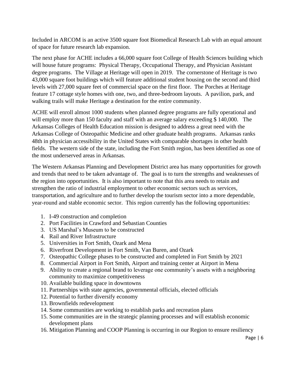Included in ARCOM is an active 3500 square foot Biomedical Research Lab with an equal amount of space for future research lab expansion.

The next phase for ACHE includes a 66,000 square foot College of Health Sciences building which will house future programs: Physical Therapy, Occupational Therapy, and Physician Assistant degree programs. The Village at Heritage will open in 2019. The cornerstone of Heritage is two 43,000 square foot buildings which will feature additional student housing on the second and third levels with 27,000 square feet of commercial space on the first floor. The Porches at Heritage feature 17 cottage style homes with one, two, and three-bedroom layouts. A pavilion, park, and walking trails will make Heritage a destination for the entire community.

ACHE will enroll almost 1000 students when planned degree programs are fully operational and will employ more than 150 faculty and staff with an average salary exceeding \$ 140,000. The Arkansas Colleges of Health Education mission is designed to address a great need with the Arkansas College of Osteopathic Medicine and other graduate health programs. Arkansas ranks 48th in physician accessibility in the United States with comparable shortages in other health fields. The western side of the state, including the Fort Smith region, has been identified as one of the most underserved areas in Arkansas.

The Western Arkansas Planning and Development District area has many opportunities for growth and trends that need to be taken advantage of. The goal is to turn the strengths and weaknesses of the region into opportunities. It is also important to note that this area needs to retain and strengthen the ratio of industrial employment to other economic sectors such as services, transportation, and agriculture and to further develop the tourism sector into a more dependable, year-round and stable economic sector. This region currently has the following opportunities:

- 1. I-49 construction and completion
- 2. Port Facilities in Crawford and Sebastian Counties
- 3. US Marshal's Museum to be constructed
- 4. Rail and River Infrastructure
- 5. Universities in Fort Smith, Ozark and Mena
- 6. Riverfront Development in Fort Smith, Van Buren, and Ozark
- 7. Osteopathic College phases to be constructed and completed in Fort Smith by 2021
- 8. Commercial Airport in Fort Smith, Airport and training center at Airport in Mena
- 9. Ability to create a regional brand to leverage one community's assets with a neighboring community to maximize competitiveness
- 10. Available building space in downtowns
- 11. Partnerships with state agencies, governmental officials, elected officials
- 12. Potential to further diversify economy
- 13. Brownfields redevelopment
- 14. Some communities are working to establish parks and recreation plans
- 15. Some communities are in the strategic planning processes and will establish economic development plans
- 16. Mitigation Planning and COOP Planning is occurring in our Region to ensure resiliency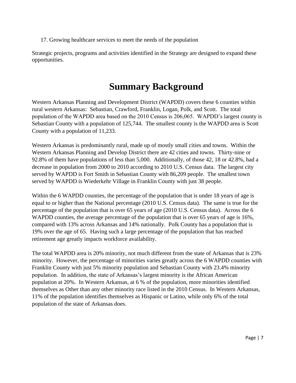17. Growing healthcare services to meet the needs of the population

Strategic projects, programs and activities identified in the Strategy are designed to expand these opportunities.

### **Summary Background**

Western Arkansas Planning and Development District (WAPDD) covers these 6 counties within rural western Arkansas: Sebastian, Crawford, Franklin, Logan, Polk, and Scott. The total population of the WAPDD area based on the 2010 Census is 206,065. WAPDD's largest county is Sebastian County with a population of 125,744. The smallest county is the WAPDD area is Scott County with a population of 11,233.

Western Arkansas is predominantly rural, made up of mostly small cities and towns. Within the Western Arkansas Planning and Develop District there are 42 cities and towns. Thirty-nine or 92.8% of them have populations of less than 5,000. Additionally, of those 42, 18 or 42.8%, had a decrease in population from 2000 to 2010 according to 2010 U.S. Census data. The largest city served by WAPDD is Fort Smith in Sebastian County with 86,209 people. The smallest town served by WAPDD is Wiederkehr Village in Franklin County with just 38 people.

Within the 6 WAPDD counties, the percentage of the population that is under 18 years of age is equal to or higher than the National percentage (2010 U.S. Census data). The same is true for the percentage of the population that is over 65 years of age (2010 U.S. Census data). Across the 6 WAPDD counties, the average percentage of the population that is over 65 years of age is 16%, compared with 13% across Arkansas and 14% nationally. Polk County has a population that is 19% over the age of 65. Having such a large percentage of the population that has reached retirement age greatly impacts workforce availability.

The total WAPDD area is 20% minority, not much different from the state of Arkansas that is 23% minority. However, the percentage of minorities varies greatly across the 6 WAPDD counties with Franklin County with just 5% minority population and Sebastian County with 23.4% minority population. In addition, the state of Arkansas's largest minority is the African American population at 20%. In Western Arkansas, at 6 % of the population, more minorities identified themselves as Other than any other minority race listed in the 2010 Census. In Western Arkansas, 11% of the population identifies themselves as Hispanic or Latino, while only 6% of the total population of the state of Arkansas does.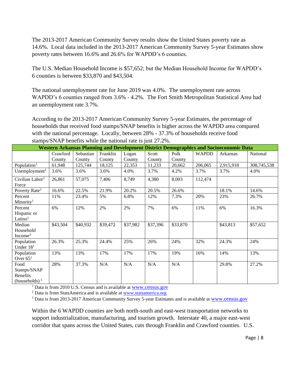The 2013-2017 American Community Survey results show the United States poverty rate as 14.6%. Local data included in the 2013-2017 American Community Survey 5-year Estimates show poverty rates between 16.6% and 26.6% for WAPDD's 6 counties.

The U.S. Median Household Income is \$57,652; but the Median Household Income for WAPDD's 6 counties is between \$33,870 and \$43,504.

The national unemployment rate for June 2019 was 4.0%. The unemployment rate across WAPDD's 6 counties ranged from 3.6% - 4.2%. The Fort Smith Metropolitan Statistical Area had an unemployment rate 3.7%.

According to the 2013-2017 American Community Survey 5-year Estimates, the percentage of households that received food stamps/SNAP benefits is higher across the WAPDD area compared with the national percentage. Locally, between 28% - 37.3% of households receive food stamps/SNAP benefits while the national rate is just 27.2%.

|                                                            |          |           |          |          |          |          |              | Western Arkansas Planning and Development District Demographics and Socioeconomic Data |             |
|------------------------------------------------------------|----------|-----------|----------|----------|----------|----------|--------------|----------------------------------------------------------------------------------------|-------------|
|                                                            | Crawford | Sebastian | Franklin | Logan    | Scott    | Polk     | <b>WAPDD</b> | Arkansas                                                                               | National    |
|                                                            | County   | County    | County   | County   | County   | County   |              |                                                                                        |             |
| Population <sup>1</sup>                                    | 61,948   | 125,744   | 18,125   | 22,353   | 11,233   | 20,662   | 206,065      | 2,915,918                                                                              | 308,745,538 |
| Unemployment <sup>2</sup>                                  | 3.6%     | 3.6%      | 3.6%     | 4.0%     | 3.7%     | 4.2%     | 3.7%         | 3.7%                                                                                   | 4.0%        |
| Civilian Labor <sup>2</sup><br>Force                       | 26,861   | 57,075    | 7,406    | 8,749    | 4,380    | 8,003    | 112,474      |                                                                                        |             |
| Poverty Rate <sup>3</sup>                                  | 16.6%    | 22.5%     | 21.9%    | 20.2%    | 20.5%    | 26.6%    |              | 18.1%                                                                                  | 14.6%       |
| Percent<br>Minority <sup>1</sup>                           | 11%      | 23.4%     | 5%       | 6.8%     | 12%      | 7.3%     | 20%          | 23%                                                                                    | 26.7%       |
| Percent<br>Hispanic or<br>Latino <sup>1</sup>              | 6%       | 12%       | 2%       | 2%       | 7%       | 6%       | 11%          | 6%                                                                                     | 16.3%       |
| Median<br>Household<br>Income <sup>3</sup>                 | \$43,504 | \$40,932  | \$39,472 | \$37,982 | \$37,396 | \$33,870 |              | \$43,813                                                                               | \$57,652    |
| Population<br>Under $181$                                  | 26.3%    | 25.3%     | 24.4%    | 25%      | 26%      | 24%      | 32%          | 24.3%                                                                                  | 24%         |
| Population<br>Over $651$                                   | 13%      | 13%       | 17%      | 17%      | 17%      | 19%      | 16%          | 14%                                                                                    | 13%         |
| Food<br>Stamps/SNAP<br><b>Benefits</b><br>(households) $3$ | 28%      | 37.3%     | N/A      | N/A      | N/A      | N/A      |              | 29.8%                                                                                  | 27.2%       |

<sup>1</sup> Data is from 2010 U.S. Census and is available at [www.census.gov](http://www.census.gov/)

<sup>2</sup> Data is from StatsAmerica and is available at [www.statsamerica.org](http://www.statsamerica.org/)

<sup>3</sup> Data is from 2013-2017 American Community Survey 5-year Estimates and is available at [www.census.gov](http://www.census.gov/)

Within the 6 WAPDD counties are both north-south and east-west transportation networks to support industrialization, manufacturing, and tourism growth. Interstate 40, a major east-west corridor that spans across the United States, cuts through Franklin and Crawford counties. U.S.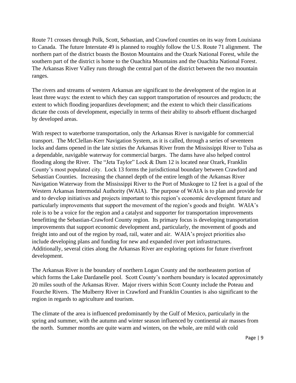Route 71 crosses through Polk, Scott, Sebastian, and Crawford counties on its way from Louisiana to Canada. The future Interstate 49 is planned to roughly follow the U.S. Route 71 alignment. The northern part of the district boasts the Boston Mountains and the Ozark National Forest, while the southern part of the district is home to the Ouachita Mountains and the Ouachita National Forest. The Arkansas River Valley runs through the central part of the district between the two mountain ranges.

The rivers and streams of western Arkansas are significant to the development of the region in at least three ways: the extent to which they can support transportation of resources and products; the extent to which flooding jeopardizes development; and the extent to which their classifications dictate the costs of development, especially in terms of their ability to absorb effluent discharged by developed areas.

With respect to waterborne transportation, only the Arkansas River is navigable for commercial transport. The McClellan-Kerr Navigation System, as it is called, through a series of seventeen locks and dams opened in the late sixties the Arkansas River from the Mississippi River to Tulsa as a dependable, navigable waterway for commercial barges. The dams have also helped control flooding along the River. The "Jeta Taylor" Lock & Dam 12 is located near Ozark, Franklin County's most populated city. Lock 13 forms the jurisdictional boundary between Crawford and Sebastian Counties. Increasing the channel depth of the entire length of the Arkansas River Navigation Waterway from the Mississippi River to the Port of Muskogee to 12 feet is a goal of the Western Arkansas Intermodal Authority (WAIA). The purpose of WAIA is to plan and provide for and to develop initiatives and projects important to this region's economic development future and particularly improvements that support the movement of the region's goods and freight. WAIA's role is to be a voice for the region and a catalyst and supporter for transportation improvements benefitting the Sebastian-Crawford County region. Its primary focus is developing transportation improvements that support economic development and, particularly, the movement of goods and freight into and out of the region by road, rail, water and air. WAIA's project priorities also include developing plans and funding for new and expanded river port infrastructures. Additionally, several cities along the Arkansas River are exploring options for future riverfront development.

The Arkansas River is the boundary of northern Logan County and the northeastern portion of which forms the Lake Dardanelle pool. Scott County's northern boundary is located approximately 20 miles south of the Arkansas River. Major rivers within Scott County include the Poteau and Fourche Rivers. The Mulberry River in Crawford and Franklin Counties is also significant to the region in regards to agriculture and tourism.

The climate of the area is influenced predominantly by the Gulf of Mexico, particularly in the spring and summer, with the autumn and winter season influenced by continental air masses from the north. Summer months are quite warm and winters, on the whole, are mild with cold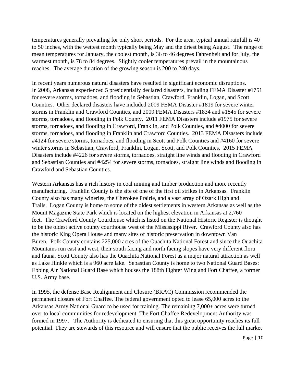temperatures generally prevailing for only short periods. For the area, typical annual rainfall is 40 to 50 inches, with the wettest month typically being May and the driest being August. The range of mean temperatures for January, the coolest month, is 36 to 46 degrees Fahrenheit and for July, the warmest month, is 78 to 84 degrees. Slightly cooler temperatures prevail in the mountainous reaches. The average duration of the growing season is 200 to 240 days.

In recent years numerous natural disasters have resulted in significant economic disruptions. In 2008, Arkansas experienced 5 presidentially declared disasters, including FEMA Disaster #1751 for severe storms, tornadoes, and flooding in Sebastian, Crawford, Franklin, Logan, and Scott Counties. Other declared disasters have included 2009 FEMA Disaster #1819 for severe winter storms in Franklin and Crawford Counties, and 2009 FEMA Disasters #1834 and #1845 for severe storms, tornadoes, and flooding in Polk County. 2011 FEMA Disasters include #1975 for severe storms, tornadoes, and flooding in Crawford, Franklin, and Polk Counties, and #4000 for severe storms, tornadoes, and flooding in Franklin and Crawford Counties. 2013 FEMA Disasters include #4124 for severe storms, tornadoes, and flooding in Scott and Polk Counties and #4160 for severe winter storms in Sebastian, Crawford, Franklin, Logan, Scott, and Polk Counties. 2015 FEMA Disasters include #4226 for severe storms, tornadoes, straight line winds and flooding in Crawford and Sebastian Counties and #4254 for severe storms, tornadoes, straight line winds and flooding in Crawford and Sebastian Counties.

Western Arkansas has a rich history in coal mining and timber production and more recently manufacturing. Franklin County is the site of one of the first oil strikes in Arkansas. Franklin County also has many wineries, the Cherokee Prairie, and a vast array of Ozark Highland Trails. Logan County is home to some of the oldest settlements in western Arkansas as well as the Mount Magazine State Park which is located on the highest elevation in Arkansas at 2,760 feet. The Crawford County Courthouse which is listed on the National Historic Register is thought to be the oldest active county courthouse west of the Mississippi River. Crawford County also has the historic King Opera House and many sites of historic preservation in downtown Van Buren. Polk County contains 225,000 acres of the Ouachita National Forest and since the Ouachita Mountains run east and west, their south facing and north facing slopes have very different flora and fauna. Scott County also has the Ouachita National Forest as a major natural attraction as well as Lake Hinkle which is a 960 acre lake. Sebastian County is home to two National Guard Bases: Ebbing Air National Guard Base which houses the 188th Fighter Wing and Fort Chaffee, a former U.S. Army base.

In 1995, the defense Base Realignment and Closure (BRAC) Commission recommended the permanent closure of Fort Chaffee. The federal government opted to lease 65,000 acres to the Arkansas Army National Guard to be used for training. The remaining 7,000+ acres were turned over to local communities for redevelopment. The Fort Chaffee Redevelopment Authority was formed in 1997. The Authority is dedicated to ensuring that this great opportunity reaches its full potential. They are stewards of this resource and will ensure that the public receives the full market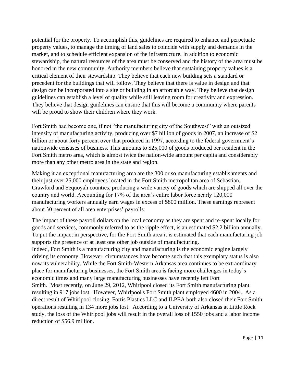potential for the property. To accomplish this, guidelines are required to enhance and perpetuate property values, to manage the timing of land sales to coincide with supply and demands in the market, and to schedule efficient expansion of the infrastructure. In addition to economic stewardship, the natural resources of the area must be conserved and the history of the area must be honored in the new community. Authority members believe that sustaining property values is a critical element of their stewardship. They believe that each new building sets a standard or precedent for the buildings that will follow. They believe that there is value in design and that design can be incorporated into a site or building in an affordable way. They believe that design guidelines can establish a level of quality while still leaving room for creativity and expression. They believe that design guidelines can ensure that this will become a community where parents will be proud to show their children where they work.

Fort Smith had become one, if not "the manufacturing city of the Southwest" with an outsized intensity of manufacturing activity, producing over \$7 billion of goods in 2007, an increase of \$2 billion or about forty percent over that produced in 1997, according to the federal government's nationwide censuses of business. This amounts to \$25,000 of goods produced per resident in the Fort Smith metro area, which is almost twice the nation-wide amount per capita and considerably more than any other metro area in the state and region.

Making it an exceptional manufacturing area are the 300 or so manufacturing establishments and their just over 25,000 employees located in the Fort Smith metropolitan area of Sebastian, Crawford and Sequoyah counties, producing a wide variety of goods which are shipped all over the country and world. Accounting for 17% of the area's entire labor force nearly 120,000 manufacturing workers annually earn wages in excess of \$800 million. These earnings represent about 30 percent of all area enterprises' payrolls.

The impact of these payroll dollars on the local economy as they are spent and re-spent locally for goods and services, commonly referred to as the ripple effect, is an estimated \$2.2 billion annually. To put the impact in perspective, for the Fort Smith area it is estimated that each manufacturing job supports the presence of at least one other job outside of manufacturing.

Indeed, Fort Smith is a manufacturing city and manufacturing is the economic engine largely driving its economy. However, circumstances have become such that this exemplary status is also now its vulnerability. While the Fort Smith-Western Arkansas area continues to be extraordinary place for manufacturing businesses, the Fort Smith area is facing more challenges in today's economic times and many large manufacturing businesses have recently left Fort Smith. Most recently, on June 29, 2012, Whirlpool closed its Fort Smith manufacturing plant resulting in 917 jobs lost. However, Whirlpool's Fort Smith plant employed 4600 in 2004. As a direct result of Whirlpool closing, Fortis Plastics LLC and ILPEA both also closed their Fort Smith operations resulting in 134 more jobs lost. According to a University of Arkansas at Little Rock study, the loss of the Whirlpool jobs will result in the overall loss of 1550 jobs and a labor income reduction of \$56.9 million.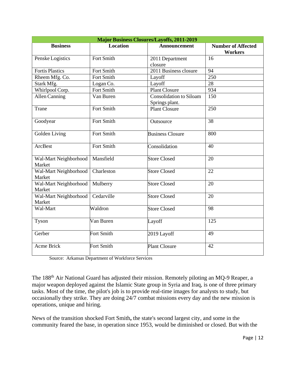| <b>Major Business Closures/Layoffs, 2011-2019</b> |                   |                                           |                                             |  |  |  |  |  |
|---------------------------------------------------|-------------------|-------------------------------------------|---------------------------------------------|--|--|--|--|--|
| <b>Business</b>                                   | <b>Location</b>   | <b>Announcement</b>                       | <b>Number of Affected</b><br><b>Workers</b> |  |  |  |  |  |
| Penske Logistics                                  | <b>Fort Smith</b> | 2011 Department<br>closure                | 16                                          |  |  |  |  |  |
| <b>Fortis Plastics</b>                            | <b>Fort Smith</b> | 2011 Business closure                     | 94                                          |  |  |  |  |  |
| Rheem Mfg. Co.                                    | <b>Fort Smith</b> | Layoff                                    | 250                                         |  |  |  |  |  |
| Stark Mfg.                                        | Logan Co.         | Layoff                                    | 28                                          |  |  |  |  |  |
| Whirlpool Corp.                                   | Fort Smith        | <b>Plant Closure</b>                      | 934                                         |  |  |  |  |  |
| <b>Allen Canning</b>                              | Van Buren         | Consolidation to Siloam<br>Springs plant. | 150                                         |  |  |  |  |  |
| Trane                                             | Fort Smith        | <b>Plant Closure</b>                      | 250                                         |  |  |  |  |  |
| Goodyear                                          | Fort Smith        | Outsource                                 | 38                                          |  |  |  |  |  |
| Golden Living                                     | Fort Smith        | <b>Business Closure</b>                   | 800                                         |  |  |  |  |  |
| ArcBest                                           | Fort Smith        | Consolidation                             | 40                                          |  |  |  |  |  |
| Wal-Mart Neighborhood<br>Market                   | Mansfield         | <b>Store Closed</b>                       | 20                                          |  |  |  |  |  |
| Wal-Mart Neighborhood<br>Market                   | Charleston        | <b>Store Closed</b>                       | 22                                          |  |  |  |  |  |
| Wal-Mart Neighborhood<br>Market                   | Mulberry          | <b>Store Closed</b>                       | 20                                          |  |  |  |  |  |
| Wal-Mart Neighborhood<br>Market                   | Cedarville        | <b>Store Closed</b>                       | 20                                          |  |  |  |  |  |
| Wal-Mart                                          | Waldron           | <b>Store Closed</b>                       | 98                                          |  |  |  |  |  |
| Tyson                                             | Van Buren         | Layoff                                    | 125                                         |  |  |  |  |  |
| Gerber                                            | Fort Smith        | 2019 Layoff                               | 49                                          |  |  |  |  |  |
| <b>Acme Brick</b>                                 | <b>Fort Smith</b> | <b>Plant Closure</b>                      | 42                                          |  |  |  |  |  |

Source: Arkansas Department of Workforce Services

The 188th Air National Guard has adjusted their mission. Remotely piloting an MQ-9 Reaper, a major weapon deployed against the Islamic State group in Syria and Iraq, is one of three primary tasks. Most of the time, the pilot's job is to provide real-time images for analysts to study, but occasionally they strike. They are doing 24/7 combat missions every day and the new mission is operations, unique and hiring.

News of the transition shocked Fort Smith**,** the state's second largest city, and some in the community feared the base, in operation since 1953, would be diminished or closed. But with the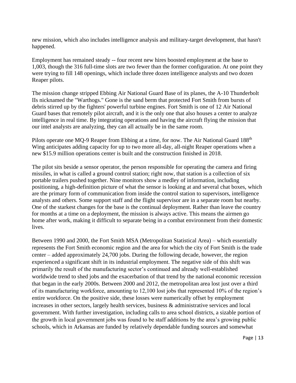new mission, which also includes intelligence analysis and military-target development, that hasn't happened.

Employment has remained steady -- four recent new hires boosted employment at the base to 1,003, though the 316 full-time slots are two fewer than the former configuration. At one point they were trying to fill 148 openings, which include three dozen intelligence analysts and two dozen Reaper pilots.

The mission change stripped Ebbing Air National Guard Base of its planes, the A-10 Thunderbolt IIs nicknamed the "Warthogs." Gone is the sand berm that protected Fort Smith from bursts of debris stirred up by the fighters' powerful turbine engines. Fort Smith is one of 12 Air National Guard bases that remotely pilot aircraft, and it is the only one that also houses a center to analyze intelligence in real time. By integrating operations and having the aircraft flying the mission that our intel analysts are analyzing, they can all actually be in the same room.

Pilots operate one MQ-9 Reaper from Ebbing at a time, for now. The Air National Guard 188<sup>th</sup> Wing anticipates adding capacity for up to two more all-day, all-night Reaper operations when a new \$15.9 million operations center is built and the construction finished in 2018.

The pilot sits beside a sensor operator, the person responsible for operating the camera and firing missiles, in what is called a ground control station; right now, that station is a collection of six portable trailers pushed together. Nine monitors show a medley of information, including positioning, a high-definition picture of what the sensor is looking at and several chat boxes, which are the primary form of communication from inside the control station to supervisors, intelligence analysts and others. Some support staff and the flight supervisor are in a separate room but nearby. One of the starkest changes for the base is the continual deployment. Rather than leave the country for months at a time on a deployment, the mission is always active. This means the airmen go home after work, making it difficult to separate being in a combat environment from their domestic lives.

Between 1990 and 2000, the Fort Smith MSA (Metropolitan Statistical Area) – which essentially represents the Fort Smith economic region and the area for which the city of Fort Smith is the trade center – added approximately 24,700 jobs. During the following decade, however, the region experienced a significant shift in its industrial employment. The negative side of this shift was primarily the result of the manufacturing sector's continued and already well-established worldwide trend to shed jobs and the exacerbation of that trend by the national economic recession that began in the early 2000s. Between 2000 and 2012, the metropolitan area lost just over a third of its manufacturing workforce, amounting to 12,100 lost jobs that represented 10% of the region's entire workforce. On the positive side, these losses were numerically offset by employment increases in other sectors, largely health services, business & administrative services and local government. With further investigation, including calls to area school districts, a sizable portion of the growth in local government jobs was found to be staff additions by the area's growing public schools, which in Arkansas are funded by relatively dependable funding sources and somewhat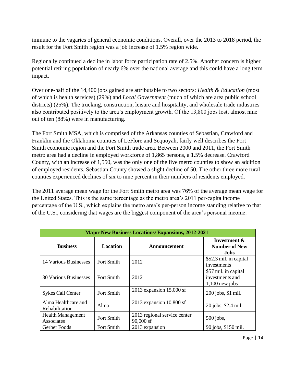immune to the vagaries of general economic conditions. Overall, over the 2013 to 2018 period, the result for the Fort Smith region was a job increase of 1.5% region wide.

Regionally continued a decline in labor force participation rate of 2.5%. Another concern is higher potential retiring population of nearly 6% over the national average and this could have a long term impact.

Over one-half of the 14,400 jobs gained are attributable to two sectors: *Health & Education* (most of which is health services) (29%) and *Local Government* (much of which are area public school districts) (25%). The trucking, construction, leisure and hospitality, and wholesale trade industries also contributed positively to the area's employment growth. Of the 13,800 jobs lost, almost nine out of ten (88%) were in manufacturing.

The Fort Smith MSA, which is comprised of the Arkansas counties of Sebastian, Crawford and Franklin and the Oklahoma counties of LeFlore and Sequoyah, fairly well describes the Fort Smith economic region and the Fort Smith trade area. Between 2000 and 2011, the Fort Smith metro area had a decline in employed workforce of 1,865 persons, a 1.5% decrease. Crawford County, with an increase of 1,550, was the only one of the five metro counties to show an addition of employed residents. Sebastian County showed a slight decline of 50. The other three more rural counties experienced declines of six to nine percent in their numbers of residents employed.

The 2011 average mean wage for the Fort Smith metro area was 76% of the average mean wage for the United States. This is the same percentage as the metro area's 2011 per-capita income percentage of the U.S., which explains the metro area's per-person income standing relative to that of the U.S., considering that wages are the biggest component of the area's personal income.

| <b>Major New Business Locations/ Expansions, 2012-2021</b> |                   |                                           |                                                             |  |  |  |  |  |
|------------------------------------------------------------|-------------------|-------------------------------------------|-------------------------------------------------------------|--|--|--|--|--|
| <b>Business</b>                                            | <b>Location</b>   | Announcement                              | Investment &<br><b>Number of New</b><br><b>Jobs</b>         |  |  |  |  |  |
| 14 Various Businesses                                      | <b>Fort Smith</b> | 2012                                      | \$52.3 mil. in capital<br>investments                       |  |  |  |  |  |
| <b>30 Various Businesses</b>                               | <b>Fort Smith</b> | 2012                                      | \$57 mil. in capital<br>investments and<br>$1,100$ new jobs |  |  |  |  |  |
| <b>Sykes Call Center</b>                                   | <b>Fort Smith</b> | 2013 expansion $15,000$ sf                | 200 jobs, \$1 mil.                                          |  |  |  |  |  |
| Alma Healthcare and<br>Rehabilitation                      | Alma              | 2013 expansion $10,800$ sf                | 20 jobs, \$2.4 mil.                                         |  |  |  |  |  |
| <b>Health Management</b><br>Associates                     | <b>Fort Smith</b> | 2013 regional service center<br>90,000 sf | $500$ jobs,                                                 |  |  |  |  |  |
| Gerber Foods                                               | <b>Fort Smith</b> | 2013 expansion                            | 90 jobs, \$150 mil.                                         |  |  |  |  |  |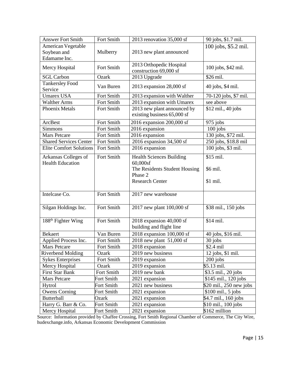| <b>Answer Fort Smith</b>       | Fort Smith        | 2013 renovation 35,000 sf       | 90 jobs, \$1.7 mil.     |
|--------------------------------|-------------------|---------------------------------|-------------------------|
| American Vegetable             |                   |                                 | 100 jobs, \$5.2 mil.    |
| Soybean and                    | Mulberry          | 2013 new plant announced        |                         |
| Edamame Inc.                   |                   |                                 |                         |
|                                | Fort Smith        | 2013 Orthopedic Hospital        | 100 jobs, \$42 mil.     |
| Mercy Hospital                 |                   | construction 69,000 sf          |                         |
| <b>SGL Carbon</b>              | Ozark             | 2013 Upgrade                    | \$26 mil.               |
| <b>Tankersley Food</b>         | Van Buren         | 2013 expansion $28,000$ sf      | 40 jobs, \$4 mil.       |
| Service                        |                   |                                 |                         |
| <b>Umarex USA</b>              | <b>Fort Smith</b> | 2013 expansion with Walther     | 70-120 jobs, \$7 mil.   |
| <b>Walther Arms</b>            | Fort Smith        | 2013 expansion with Umarex      | see above               |
| <b>Phoenix Metals</b>          | <b>Fort Smith</b> | 2013 new plant announced by     | \$12 mil., 40 jobs      |
|                                |                   | existing business 65,000 sf     |                         |
| ArcBest                        | Fort Smith        | 2016 expansion 200,000 sf       | 975 jobs                |
| Simmons                        | Fort Smith        | 2016 expansion                  | $100$ jobs              |
| <b>Mars Petcare</b>            | Fort Smith        | 2016 expansion                  | 130 jobs, \$72 mil.     |
| <b>Shared Services Center</b>  | Fort Smith        | 2016 expansion 34,500 sf        | 250 jobs, \$18.8 mil    |
| <b>Elite Comfort Solutions</b> | Fort Smith        | 2016 expansion                  | 100 jobs, \$3 mil.      |
| Arkansas Colleges of           | Fort Smith        | <b>Health Sciences Building</b> | \$15 mil.               |
| <b>Health Education</b>        |                   | 60,000sf                        |                         |
|                                |                   | The Residents Student Housing   | \$6 mil.                |
|                                |                   | Phase 2                         |                         |
|                                |                   | <b>Research Center</b>          | \$1 mil.                |
|                                |                   |                                 |                         |
| Intelcase Co.                  | Fort Smith        | 2017 new warehouse              |                         |
|                                |                   |                                 |                         |
| Silgan Holdings Inc.           | Fort Smith        | 2017 new plant 100,000 sf       | \$38 mil., 150 jobs     |
|                                |                   |                                 |                         |
| 188 <sup>th</sup> Fighter Wing | Fort Smith        | 2018 expansion $40,000$ sf      | \$14 mil.               |
|                                |                   | building and flight line        |                         |
| <b>Bekaert</b>                 | Van Buren         | 2018 expansion 100,000 sf       | 40 jobs, \$16 mil.      |
| Applied Process Inc.           | Fort Smith        | 2018 new plant $51,000$ sf      | 30 jobs                 |
| Mars Petcare                   | Fort Smith        | 2018 expansion                  | \$2.4 mil               |
| <b>Riverbend Molding</b>       | Ozark             | 2019 new business               | 12 jobs, \$1 mil.       |
| <b>Sykes Enterprises</b>       | Fort Smith        | 2019 expansion                  | $200$ jobs              |
| Mercy Hospital                 | Ozark             | 2019 expansion                  | \$5.13 mil.             |
| First Star Bank                | Fort Smith        | 2019 new bank                   | \$3.5 mil., 20 jobs     |
| Mars Petcare                   | Fort Smith        | 2021 expansion                  | \$145 mil., 120 jobs    |
| Hytrol                         | Fort Smith        | 2021 new business               | \$20 mil., 250 new jobs |
| <b>Owens Corning</b>           | Fort Smith        | 2021 expansion                  | $$100$ mil., 5 jobs     |
| Butterball                     | Ozark             | 2021 expansion                  | \$4.7 mil., 160 jobs    |
| Harry G. Barr & Co.            | Fort Smith        | 2021 expansion                  | \$10 mil., 100 jobs     |
| Mercy Hospital                 | Fort Smith        | 2021 expansion                  | \$162 million           |

Source: Information provided by Chaffee Crossing, Fort Smith Regional Chamber of Commerce, The City Wire, hudexchange.info, Arkansas Economic Development Commission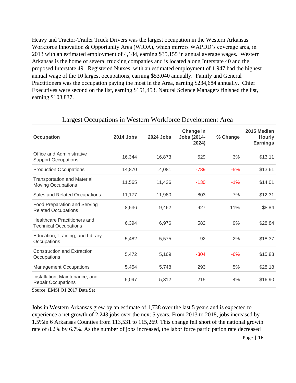Heavy and Tractor-Trailer Truck Drivers was the largest occupation in the Western Arkansas Workforce Innovation & Opportunity Area (WIOA), which mirrors WAPDD's coverage area, in 2013 with an estimated employment of 4,184, earning \$35,155 in annual average wages. Western Arkansas is the home of several trucking companies and is located along Interstate 40 and the proposed Interstate 49. Registered Nurses, with an estimated employment of 1,947 had the highest annual wage of the 10 largest occupations, earning \$53,040 annually. Family and General Practitioners was the occupation paying the most in the Area, earning \$234,684 annually. Chief Executives were second on the list, earning \$151,453. Natural Science Managers finished the list, earning \$103,837.

| <b>Occupation</b>                                                   | 2014 Jobs | 2024 Jobs | Change in<br><b>Jobs (2014-</b><br>2024) | % Change | 2015 Median<br><b>Hourly</b><br><b>Earnings</b> |
|---------------------------------------------------------------------|-----------|-----------|------------------------------------------|----------|-------------------------------------------------|
| Office and Administrative<br><b>Support Occupations</b>             | 16,344    | 16,873    | 529                                      | 3%       | \$13.11                                         |
| <b>Production Occupations</b>                                       | 14,870    | 14,081    | $-789$                                   | $-5%$    | \$13.61                                         |
| <b>Transportation and Material</b><br>Moving Occupations            | 11,565    | 11,436    | $-130$                                   | $-1%$    | \$14.01                                         |
| Sales and Related Occupations                                       | 11,177    | 11,980    | 803                                      | 7%       | \$12.31                                         |
| <b>Food Preparation and Serving</b><br><b>Related Occupations</b>   | 8,536     | 9,462     | 927                                      | 11%      | \$8.84                                          |
| <b>Healthcare Practitioners and</b><br><b>Technical Occupations</b> | 6,394     | 6,976     | 582                                      | 9%       | \$28.84                                         |
| Education, Training, and Library<br>Occupations                     | 5,482     | 5,575     | 92                                       | 2%       | \$18.37                                         |
| <b>Construction and Extraction</b><br>Occupations                   | 5,472     | 5,169     | $-304$                                   | $-6%$    | \$15.83                                         |
| <b>Management Occupations</b>                                       | 5,454     | 5,748     | 293                                      | 5%       | \$28.18                                         |
| Installation, Maintenance, and<br><b>Repair Occupations</b>         | 5,097     | 5,312     | 215                                      | 4%       | \$16.90                                         |

#### Largest Occupations in Western Workforce Development Area

Source: EMSI Q1 2017 Data Set

Jobs in Western Arkansas grew by an estimate of 1,738 over the last 5 years and is expected to experience a net growth of 2,243 jobs over the next 5 years. From 2013 to 2018, jobs increased by 1.5%in 6 Arkansas Counties from 113,531 to 115,269. This change fell short of the national growth rate of 8.2% by 6.7%. As the number of jobs increased, the labor force participation rate decreased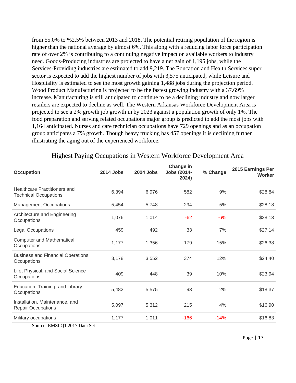from 55.0% to %2.5% between 2013 and 2018. The potential retiring population of the region is higher than the national average by almost 6%. This along with a reducing labor force participation rate of over 2% is contributing to a continuing negative impact on available workers to industry need. Goods-Producing industries are projected to have a net gain of 1,195 jobs, while the Services-Providing industries are estimated to add 9,219. The Education and Health Services super sector is expected to add the highest number of jobs with 3,575 anticipated, while Leisure and Hospitality is estimated to see the most growth gaining 1,488 jobs during the projection period. Wood Product Manufacturing is projected to be the fastest growing industry with a 37.69% increase. Manufacturing is still anticipated to continue to be a declining industry and now larger retailers are expected to decline as well. The Western Arkansas Workforce Development Area is projected to see a 2% growth job growth in by 2023 against a population growth of only 1%. The food preparation and serving related occupations major group is predicted to add the most jobs with 1,164 anticipated. Nurses and care technician occupations have 729 openings and as an occupation group anticipates a 7% growth. Though heavy trucking has 457 openings it is declining further illustrating the aging out of the experienced workforce.

| <b>Occupation</b>                                                   | 2014 Jobs | 2024 Jobs | Change in<br><b>Jobs (2014-</b><br>2024) | % Change | 2015 Earnings Per<br>Worker |
|---------------------------------------------------------------------|-----------|-----------|------------------------------------------|----------|-----------------------------|
| <b>Healthcare Practitioners and</b><br><b>Technical Occupations</b> | 6,394     | 6,976     | 582                                      | 9%       | \$28.84                     |
| <b>Management Occupations</b>                                       | 5,454     | 5,748     | 294                                      | 5%       | \$28.18                     |
| Architecture and Engineering<br>Occupations                         | 1,076     | 1,014     | $-62$                                    | $-6%$    | \$28.13                     |
| <b>Legal Occupations</b>                                            | 459       | 492       | 33                                       | 7%       | \$27.14                     |
| <b>Computer and Mathematical</b><br>Occupations                     | 1,177     | 1,356     | 179                                      | 15%      | \$26.38                     |
| <b>Business and Financial Operations</b><br>Occupations             | 3,178     | 3,552     | 374                                      | 12%      | \$24.40                     |
| Life, Physical, and Social Science<br>Occupations                   | 409       | 448       | 39                                       | 10%      | \$23.94                     |
| Education, Training, and Library<br>Occupations                     | 5,482     | 5,575     | 93                                       | 2%       | \$18.37                     |
| Installation, Maintenance, and<br><b>Repair Occupations</b>         | 5,097     | 5,312     | 215                                      | 4%       | \$16.90                     |
| Military occupations                                                | 1,177     | 1,011     | $-166$                                   | $-14%$   | \$16.83                     |

Highest Paying Occupations in Western Workforce Development Area

Source: EMSI Q1 2017 Data Set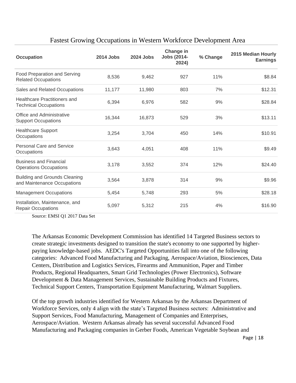| <b>Occupation</b>                                                   | 2014 Jobs | 2024 Jobs | Change in<br><b>Jobs (2014-</b><br>2024) | % Change | 2015 Median Hourly<br><b>Earnings</b> |
|---------------------------------------------------------------------|-----------|-----------|------------------------------------------|----------|---------------------------------------|
| Food Preparation and Serving<br><b>Related Occupations</b>          | 8,536     | 9,462     | 927                                      | 11%      | \$8.84                                |
| Sales and Related Occupations                                       | 11,177    | 11,980    | 803                                      | 7%       | \$12.31                               |
| <b>Healthcare Practitioners and</b><br><b>Technical Occupations</b> | 6,394     | 6,976     | 582                                      | 9%       | \$28.84                               |
| Office and Administrative<br><b>Support Occupations</b>             | 16,344    | 16,873    | 529                                      | 3%       | \$13.11                               |
| <b>Healthcare Support</b><br>Occupations                            | 3,254     | 3,704     | 450                                      | 14%      | \$10.91                               |
| <b>Personal Care and Service</b><br>Occupations                     | 3,643     | 4,051     | 408                                      | 11%      | \$9.49                                |
| <b>Business and Financial</b><br><b>Operations Occupations</b>      | 3,178     | 3,552     | 374                                      | 12%      | \$24.40                               |
| <b>Building and Grounds Cleaning</b><br>and Maintenance Occupations | 3,564     | 3,878     | 314                                      | 9%       | \$9.96                                |
| <b>Management Occupations</b>                                       | 5,454     | 5,748     | 293                                      | 5%       | \$28.18                               |
| Installation, Maintenance, and<br><b>Repair Occupations</b>         | 5,097     | 5,312     | 215                                      | 4%       | \$16.90                               |

#### Fastest Growing Occupations in Western Workforce Development Area

Source: EMSI Q1 2017 Data Set

The Arkansas Economic Development Commission has identified 14 Targeted Business sectors to create strategic investments designed to transition the state's economy to one supported by higherpaying knowledge-based jobs. AEDC's Targeted Opportunities fall into one of the following categories: Advanced Food Manufacturing and Packaging, Aerospace/Aviation, Biosciences, Data Centers, Distribution and Logistics Services, Firearms and Ammunition, Paper and Timber Products, Regional Headquarters, Smart Grid Technologies (Power Electronics), Software Development & Data Management Services, Sustainable Building Products and Fixtures, Technical Support Centers, Transportation Equipment Manufacturing, Walmart Suppliers.

Of the top growth industries identified for Western Arkansas by the Arkansas Department of Workforce Services, only 4 align with the state's Targeted Business sectors: Administrative and Support Services, Food Manufacturing, Management of Companies and Enterprises, Aerospace/Aviation. Western Arkansas already has several successful Advanced Food Manufacturing and Packaging companies in Gerber Foods, American Vegetable Soybean and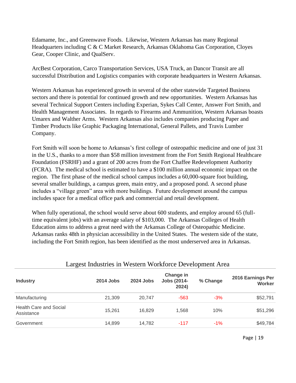Edamame, Inc., and Greenwave Foods. Likewise, Western Arkansas has many Regional Headquarters including C & C Market Research, Arkansas Oklahoma Gas Corporation, Cloyes Gear, Cooper Clinic, and QualServ.

ArcBest Corporation, Carco Transportation Services, USA Truck, an Dancor Transit are all successful Distribution and Logistics companies with corporate headquarters in Western Arkansas.

Western Arkansas has experienced growth in several of the other statewide Targeted Business sectors and there is potential for continued growth and new opportunities. Western Arkansas has several Technical Support Centers including Experian, Sykes Call Center, Answer Fort Smith, and Health Management Associates. In regards to Firearms and Ammunition, Western Arkansas boasts Umarex and Walther Arms. Western Arkansas also includes companies producing Paper and Timber Products like Graphic Packaging International, General Pallets, and Travis Lumber Company.

Fort Smith will soon be home to Arkansas's first college of osteopathic medicine and one of just 31 in the U.S., thanks to a more than \$58 million investment from the Fort Smith Regional Healthcare Foundation (FSRHF) and a grant of 200 acres from the Fort Chaffee Redevelopment Authority (FCRA). The medical school is estimated to have a \$100 million annual economic impact on the region. The first phase of the medical school campus includes a 60,000-square foot building, several smaller buildings, a campus green, main entry, and a proposed pond. A second phase includes a "village green" area with more buildings. Future development around the campus includes space for a medical office park and commercial and retail development.

When fully operational, the school would serve about 600 students, and employ around 65 (fulltime equivalent jobs) with an average salary of \$103,000. The Arkansas Colleges of Health Education aims to address a great need with the Arkansas College of Osteopathic Medicine. Arkansas ranks 48th in physician accessibility in the United States. The western side of the state, including the Fort Smith region, has been identified as the most underserved area in Arkansas.

|                                             | ັ         |                  |                                          |          |                             |  |  |  |  |
|---------------------------------------------|-----------|------------------|------------------------------------------|----------|-----------------------------|--|--|--|--|
| <b>Industry</b>                             | 2014 Jobs | <b>2024 Jobs</b> | Change in<br><b>Jobs (2014-</b><br>2024) | % Change | 2016 Earnings Per<br>Worker |  |  |  |  |
| Manufacturing                               | 21,309    | 20.747           | $-563$                                   | $-3%$    | \$52,791                    |  |  |  |  |
| <b>Health Care and Social</b><br>Assistance | 15,261    | 16,829           | 1,568                                    | 10%      | \$51,296                    |  |  |  |  |
| Government                                  | 14,899    | 14,782           | $-117$                                   | $-1\%$   | \$49,784                    |  |  |  |  |

#### Largest Industries in Western Workforce Development Area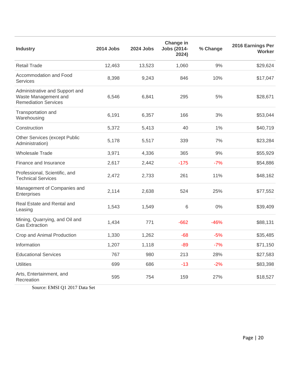| <b>Industry</b>                                                                       | 2014 Jobs | <b>2024 Jobs</b> | Change in<br><b>Jobs (2014-</b><br>2024) | % Change | 2016 Earnings Per<br><b>Worker</b> |
|---------------------------------------------------------------------------------------|-----------|------------------|------------------------------------------|----------|------------------------------------|
| <b>Retail Trade</b>                                                                   | 12,463    | 13,523           | 1,060                                    | 9%       | \$29,624                           |
| Accommodation and Food<br><b>Services</b>                                             | 8,398     | 9,243            | 846                                      | 10%      | \$17,047                           |
| Administrative and Support and<br>Waste Management and<br><b>Remediation Services</b> | 6,546     | 6,841            | 295                                      | 5%       | \$28,671                           |
| Transportation and<br>Warehousing                                                     | 6,191     | 6,357            | 166                                      | 3%       | \$53,044                           |
| Construction                                                                          | 5,372     | 5,413            | 40                                       | 1%       | \$40,719                           |
| Other Services (except Public<br>Administration)                                      | 5,178     | 5,517            | 339                                      | 7%       | \$23,284                           |
| <b>Wholesale Trade</b>                                                                | 3,971     | 4,336            | 365                                      | 9%       | \$55,929                           |
| Finance and Insurance                                                                 | 2,617     | 2,442            | $-175$                                   | $-7%$    | \$54,886                           |
| Professional, Scientific, and<br><b>Technical Services</b>                            | 2,472     | 2,733            | 261                                      | 11%      | \$48,162                           |
| Management of Companies and<br>Enterprises                                            | 2,114     | 2,638            | 524                                      | 25%      | \$77,552                           |
| Real Estate and Rental and<br>Leasing                                                 | 1,543     | 1,549            | 6                                        | 0%       | \$39,409                           |
| Mining, Quarrying, and Oil and<br><b>Gas Extraction</b>                               | 1,434     | 771              | $-662$                                   | $-46%$   | \$88,131                           |
| Crop and Animal Production                                                            | 1,330     | 1,262            | $-68$                                    | $-5%$    | \$35,485                           |
| Information                                                                           | 1,207     | 1,118            | $-89$                                    | $-7%$    | \$71,150                           |
| <b>Educational Services</b>                                                           | 767       | 980              | 213                                      | 28%      | \$27,583                           |
| <b>Utilities</b>                                                                      | 699       | 686              | $-13$                                    | $-2%$    | \$83,398                           |
| Arts, Entertainment, and<br>Recreation                                                | 595       | 754              | 159                                      | 27%      | \$18,527                           |

Source: EMSI Q1 2017 Data Set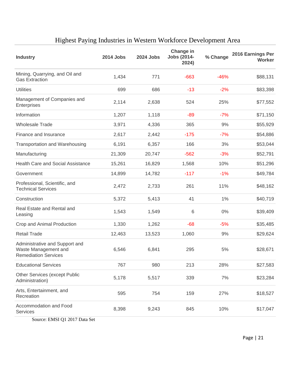| <b>Industry</b>                                                                       | 2014 Jobs | <b>2024 Jobs</b> | Change in<br><b>Jobs (2014-</b><br>2024) | % Change | 2016 Earnings Per<br><b>Worker</b> |
|---------------------------------------------------------------------------------------|-----------|------------------|------------------------------------------|----------|------------------------------------|
| Mining, Quarrying, and Oil and<br><b>Gas Extraction</b>                               | 1,434     | 771              | $-663$                                   | $-46%$   | \$88,131                           |
| <b>Utilities</b>                                                                      | 699       | 686              | $-13$                                    | $-2%$    | \$83,398                           |
| Management of Companies and<br>Enterprises                                            | 2,114     | 2,638            | 524                                      | 25%      | \$77,552                           |
| Information                                                                           | 1,207     | 1,118            | $-89$                                    | $-7%$    | \$71,150                           |
| <b>Wholesale Trade</b>                                                                | 3,971     | 4,336            | 365                                      | 9%       | \$55,929                           |
| Finance and Insurance                                                                 | 2,617     | 2,442            | $-175$                                   | $-7%$    | \$54,886                           |
| <b>Transportation and Warehousing</b>                                                 | 6,191     | 6,357            | 166                                      | 3%       | \$53,044                           |
| Manufacturing                                                                         | 21,309    | 20,747           | $-562$                                   | $-3%$    | \$52,791                           |
| Health Care and Social Assistance                                                     | 15,261    | 16,829           | 1,568                                    | 10%      | \$51,296                           |
| Government                                                                            | 14,899    | 14,782           | $-117$                                   | $-1%$    | \$49,784                           |
| Professional, Scientific, and<br><b>Technical Services</b>                            | 2,472     | 2,733            | 261                                      | 11%      | \$48,162                           |
| Construction                                                                          | 5,372     | 5,413            | 41                                       | 1%       | \$40,719                           |
| Real Estate and Rental and<br>Leasing                                                 | 1,543     | 1,549            | 6                                        | 0%       | \$39,409                           |
| Crop and Animal Production                                                            | 1,330     | 1,262            | $-68$                                    | $-5%$    | \$35,485                           |
| <b>Retail Trade</b>                                                                   | 12,463    | 13,523           | 1,060                                    | 9%       | \$29,624                           |
| Administrative and Support and<br>Waste Management and<br><b>Remediation Services</b> | 6,546     | 6,841            | 295                                      | 5%       | \$28,671                           |
| <b>Educational Services</b>                                                           | 767       | 980              | 213                                      | 28%      | \$27,583                           |
| <b>Other Services (except Public</b><br>Administration)                               | 5,178     | 5,517            | 339                                      | 7%       | \$23,284                           |
| Arts, Entertainment, and<br>Recreation                                                | 595       | 754              | 159                                      | 27%      | \$18,527                           |
| Accommodation and Food<br><b>Services</b>                                             | 8,398     | 9,243            | 845                                      | 10%      | \$17,047                           |
| $S_{\text{outco}}$ EMSI $\Omega$ 1.2017 Data $S_{\text{out}}$                         |           |                  |                                          |          |                                    |

### Highest Paying Industries in Western Workforce Development Area

Source: EMSI Q1 2017 Data Set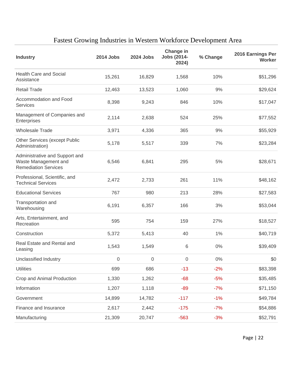| <b>Industry</b>                                                                       | 2014 Jobs | 2024 Jobs        | Change in<br><b>Jobs (2014-</b><br>2024) | % Change | 2016 Earnings Per<br><b>Worker</b> |
|---------------------------------------------------------------------------------------|-----------|------------------|------------------------------------------|----------|------------------------------------|
| <b>Health Care and Social</b><br>Assistance                                           | 15,261    | 16,829           | 1,568                                    | 10%      | \$51,296                           |
| <b>Retail Trade</b>                                                                   | 12,463    | 13,523           | 1,060                                    | 9%       | \$29,624                           |
| Accommodation and Food<br><b>Services</b>                                             | 8,398     | 9,243            | 846                                      | 10%      | \$17,047                           |
| Management of Companies and<br>Enterprises                                            | 2,114     | 2,638            | 524                                      | 25%      | \$77,552                           |
| <b>Wholesale Trade</b>                                                                | 3,971     | 4,336            | 365                                      | 9%       | \$55,929                           |
| Other Services (except Public<br>Administration)                                      | 5,178     | 5,517            | 339                                      | 7%       | \$23,284                           |
| Administrative and Support and<br>Waste Management and<br><b>Remediation Services</b> | 6,546     | 6,841            | 295                                      | 5%       | \$28,671                           |
| Professional, Scientific, and<br><b>Technical Services</b>                            | 2,472     | 2,733            | 261                                      | 11%      | \$48,162                           |
| <b>Educational Services</b>                                                           | 767       | 980              | 213                                      | 28%      | \$27,583                           |
| Transportation and<br>Warehousing                                                     | 6,191     | 6,357            | 166                                      | 3%       | \$53,044                           |
| Arts, Entertainment, and<br>Recreation                                                | 595       | 754              | 159                                      | 27%      | \$18,527                           |
| Construction                                                                          | 5,372     | 5,413            | 40                                       | 1%       | \$40,719                           |
| Real Estate and Rental and<br>Leasing                                                 | 1,543     | 1,549            | 6                                        | 0%       | \$39,409                           |
| Unclassified Industry                                                                 | 0         | $\boldsymbol{0}$ | $\mathbf 0$                              | 0%       | \$0                                |
| <b>Utilities</b>                                                                      | 699       | 686              | $-13$                                    | $-2%$    | \$83,398                           |
| Crop and Animal Production                                                            | 1,330     | 1,262            | $-68$                                    | $-5%$    | \$35,485                           |
| Information                                                                           | 1,207     | 1,118            | $-89$                                    | $-7%$    | \$71,150                           |
| Government                                                                            | 14,899    | 14,782           | $-117$                                   | $-1%$    | \$49,784                           |
| Finance and Insurance                                                                 | 2,617     | 2,442            | $-175$                                   | $-7%$    | \$54,886                           |
| Manufacturing                                                                         | 21,309    | 20,747           | $-563$                                   | $-3%$    | \$52,791                           |

### Fastest Growing Industries in Western Workforce Development Area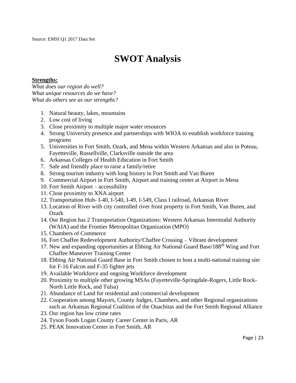### **SWOT Analysis**

#### **Strengths:**

*What does our region do well? What unique resources do we have? What do others see as our strengths?*

- 1. Natural beauty, lakes, mountains
- 2. Low cost of living
- 3. Close proximity to multiple major water resources
- 4. Strong University presence and partnerships with WIOA to establish workforce training programs
- 5. Universities in Fort Smith, Ozark, and Mena within Western Arkansas and also in Poteau, Fayetteville, Russellville, Clarksville outside the area
- 6. Arkansas Colleges of Health Education in Fort Smith
- 7. Safe and friendly place to raise a family/retire
- 8. Strong tourism industry with long history in Fort Smith and Van Buren
- 9. Commercial Airport in Fort Smith, Airport and training center at Airport in Mena
- 10. Fort Smith Airport accessibility
- 11. Close proximity to XNA airport
- 12. Transportation Hub- I-40, I-540, I-49, I-549, Class I railroad, Arkansas River
- 13. Location of River with city controlled river front property in Fort Smith, Van Buren, and **Ozark**
- 14. Our Region has 2 Transportation Organizations: Western Arkansas Intermodal Authority (WAIA) and the Frontier Metropolitan Organization (MPO)
- 15. Chambers of Commerce
- 16. Fort Chaffee Redevelopment Authority/Chaffee Crossing Vibrant development
- 17. New and expanding opportunities at Ebbing Air National Guard Base/188<sup>th</sup> Wing and Fort Chaffee Maneuver Training Center
- 18. Ebbing Air National Guard Base in Fort Smith chosen to host a multi-national training site for F-16 Falcon and F-35 fighter jets
- 19. Available Workforce and ongoing Workforce development
- 20. Proximity to multiple other growing MSAs (Fayetteville-Springdale-Rogers, Little Rock-North Little Rock, and Tulsa)
- 21. Abundance of Land for residential and commercial development
- 22. Cooperation among Mayors, County Judges, Chambers, and other Regional organizations such as Arkansas Regional Coalition of the Ouachitas and the Fort Smith Regional Alliance
- 23. Our region has low crime rates
- 24. Tyson Foods Logan County Career Center in Paris, AR
- 25. PEAK Innovation Center in Fort Smith, AR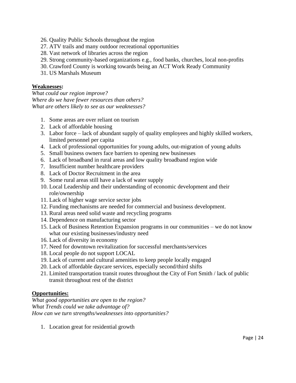- 26. Quality Public Schools throughout the region
- 27. ATV trails and many outdoor recreational opportunities
- 28. Vast network of libraries across the region
- 29. Strong community-based organizations e.g., food banks, churches, local non-profits
- 30. Crawford County is working towards being an ACT Work Ready Community
- 31. US Marshals Museum

#### **Weaknesses:**

*What could our region improve? Where do we have fewer resources than others? What are others likely to see as our weaknesses?*

- 1. Some areas are over reliant on tourism
- 2. Lack of affordable housing
- 3. Labor force lack of abundant supply of quality employees and highly skilled workers, limited personnel per capita
- 4. Lack of professional opportunities for young adults, out-migration of young adults
- 5. Small business owners face barriers to opening new businesses
- 6. Lack of broadband in rural areas and low quality broadband region wide
- 7. Insufficient number healthcare providers
- 8. Lack of Doctor Recruitment in the area
- 9. Some rural areas still have a lack of water supply
- 10. Local Leadership and their understanding of economic development and their role/ownership
- 11. Lack of higher wage service sector jobs
- 12. Funding mechanisms are needed for commercial and business development.
- 13. Rural areas need solid waste and recycling programs
- 14. Dependence on manufacturing sector
- 15. Lack of Business Retention Expansion programs in our communities we do not know what our existing businesses/industry need
- 16. Lack of diversity in economy
- 17. Need for downtown revitalization for successful merchants/services
- 18. Local people do not support LOCAL
- 19. Lack of current and cultural amenities to keep people locally engaged
- 20. Lack of affordable daycare services, especially second/third shifts
- 21. Limited transportation transit routes throughout the City of Fort Smith / lack of public transit throughout rest of the district

#### **Opportunities:**

*What good opportunities are open to the region? What Trends could we take advantage of? How can we turn strengths/weaknesses into opportunities?*

1. Location great for residential growth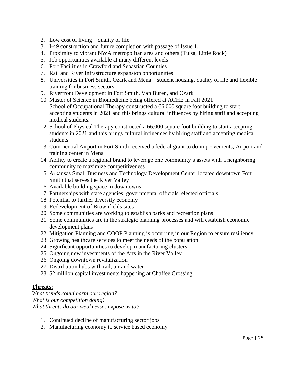- 2. Low cost of living quality of life
- 3. I-49 construction and future completion with passage of Issue 1.
- 4. Proximity to vibrant NWA metropolitan area and others (Tulsa, Little Rock)
- 5. Job opportunities available at many different levels
- 6. Port Facilities in Crawford and Sebastian Counties
- 7. Rail and River Infrastructure expansion opportunities
- 8. Universities in Fort Smith, Ozark and Mena student housing, quality of life and flexible training for business sectors
- 9. Riverfront Development in Fort Smith, Van Buren, and Ozark
- 10. Master of Science in Biomedicine being offered at ACHE in Fall 2021
- 11. School of Occupational Therapy constructed a 66,000 square foot building to start accepting students in 2021 and this brings cultural influences by hiring staff and accepting medical students.
- 12. School of Physical Therapy constructed a 66,000 square foot building to start accepting students in 2021 and this brings cultural influences by hiring staff and accepting medical students.
- 13. Commercial Airport in Fort Smith received a federal grant to do improvements, Airport and training center in Mena
- 14. Ability to create a regional brand to leverage one community's assets with a neighboring community to maximize competitiveness
- 15. Arkansas Small Business and Technology Development Center located downtown Fort Smith that serves the River Valley
- 16. Available building space in downtowns
- 17. Partnerships with state agencies, governmental officials, elected officials
- 18. Potential to further diversify economy
- 19. Redevelopment of Brownfields sites
- 20. Some communities are working to establish parks and recreation plans
- 21. Some communities are in the strategic planning processes and will establish economic development plans
- 22. Mitigation Planning and COOP Planning is occurring in our Region to ensure resiliency
- 23. Growing healthcare services to meet the needs of the population
- 24. Significant opportunities to develop manufacturing clusters
- 25. Ongoing new investments of the Arts in the River Valley
- 26. Ongoing downtown revitalization
- 27. Distribution hubs with rail, air and water
- 28. \$2 million capital investments happening at Chaffee Crossing

#### **Threats:**

*What trends could harm our region? What is our competition doing? What threats do our weaknesses expose us to?* 

- 1. Continued decline of manufacturing sector jobs
- 2. Manufacturing economy to service based economy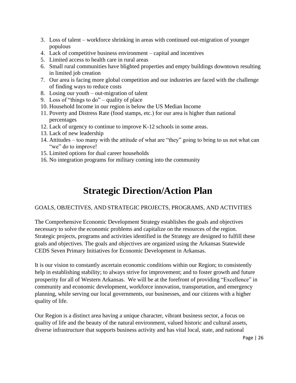- 3. Loss of talent workforce shrinking in areas with continued out-migration of younger populous
- 4. Lack of competitive business environment capital and incentives
- 5. Limited access to health care in rural areas
- 6. Small rural communities have blighted properties and empty buildings downtown resulting in limited job creation
- 7. Our area is facing more global competition and our industries are faced with the challenge of finding ways to reduce costs
- 8. Losing our youth out-migration of talent
- 9. Loss of "things to do" quality of place
- 10. Household Income in our region is below the US Median Income
- 11. Poverty and Distress Rate (food stamps, etc.) for our area is higher than national percentages
- 12. Lack of urgency to continue to improve K-12 schools in some areas.
- 13. Lack of new leadership
- 14. Attitudes too many with the attitude of what are "they" going to bring to us not what can "we" do to improve!
- 15. Limited options for dual career households
- 16. No integration programs for military coming into the community

### **Strategic Direction/Action Plan**

#### GOALS, OBJECTIVES, AND STRATEGIC PROJECTS, PROGRAMS, AND ACTIVITIES

The Comprehensive Economic Development Strategy establishes the goals and objectives necessary to solve the economic problems and capitalize on the resources of the region. Strategic projects, programs and activities identified in the Strategy are designed to fulfill these goals and objectives. The goals and objectives are organized using the Arkansas Statewide CEDS Seven Primary Initiatives for Economic Development in Arkansas.

It is our vision to constantly ascertain economic conditions within our Region; to consistently help in establishing stability; to always strive for improvement; and to foster growth and future prosperity for all of Western Arkansas. We will be at the forefront of providing "Excellence" in community and economic development, workforce innovation, transportation, and emergency planning, while serving our local governments, our businesses, and our citizens with a higher quality of life.

Our Region is a distinct area having a unique character, vibrant business sector, a focus on quality of life and the beauty of the natural environment, valued historic and cultural assets, diverse infrastructure that supports business activity and has vital local, state, and national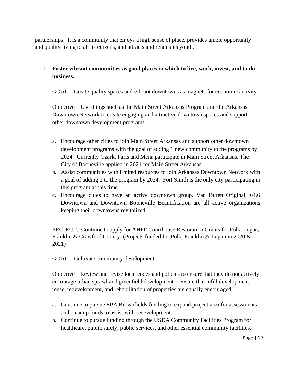partnerships. It is a community that enjoys a high sense of place, provides ample opportunity and quality living to all its citizens, and attracts and retains its youth.

#### **1. Foster vibrant communities as good places in which to live, work, invest, and to do business.**

GOAL – Create quality spaces and vibrant downtowns as magnets for economic activity.

Objective – Use things such as the Main Street Arkansas Program and the Arkansas Downtown Network to create engaging and attractive downtown spaces and support other downtown development programs.

- a. Encourage other cities to join Main Street Arkansas and support other downtown development programs with the goal of adding 1 new community to the programs by 2024. Currently Ozark, Paris and Mena participate in Main Street Arkansas. The City of Booneville applied in 2021 for Main Street Arkansas.
- b. Assist communities with limited resources to join Arkansas Downtown Network with a goal of adding 2 to the program by 2024. Fort Smith is the only city participating in this program at this time.
- c. Encourage cities to have an active downtown group. Van Buren Original, 64.6 Downtown and Downtown Booneville Beautification are all active organizations keeping their downtowns revitalized.

PROJECT: Continue to apply for AHPP Courthouse Restoration Grants for Polk, Logan, Franklin & Crawford County. (Projects funded for Polk, Franklin & Logan in 2020 & 2021)

GOAL – Cultivate community development.

Objective – Review and revise local codes and policies to ensure that they do not actively encourage urban sprawl and greenfield development – ensure that infill development, reuse, redevelopment, and rehabilitation of properties are equally encouraged.

- a. Continue to pursue EPA Brownfields funding to expand project area for assessments and cleanup funds to assist with redevelopment.
- b. Continue to pursue funding through the USDA Community Facilities Program for healthcare, public safety, public services, and other essential community facilities.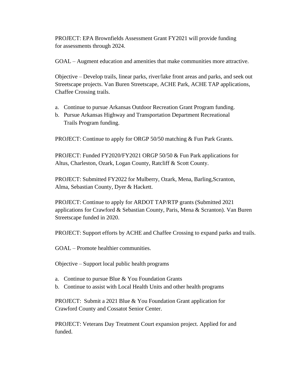PROJECT: EPA Brownfields Assessment Grant FY2021 will provide funding for assessments through 2024.

GOAL – Augment education and amenities that make communities more attractive.

Objective – Develop trails, linear parks, river/lake front areas and parks, and seek out Streetscape projects. Van Buren Streetscape, ACHE Park, ACHE TAP applications, Chaffee Crossing trails.

- a. Continue to pursue Arkansas Outdoor Recreation Grant Program funding.
- b. Pursue Arkansas Highway and Transportation Department Recreational Trails Program funding.

PROJECT: Continue to apply for ORGP 50/50 matching & Fun Park Grants.

PROJECT: Funded FY2020/FY2021 ORGP 50/50 & Fun Park applications for Altus, Charleston, Ozark, Logan County, Ratcliff & Scott County.

PROJECT: Submitted FY2022 for Mulberry, Ozark, Mena, Barling,Scranton, Alma, Sebastian County, Dyer & Hackett.

PROJECT: Continue to apply for ARDOT TAP/RTP grants (Submitted 2021 applications for Crawford & Sebastian County, Paris, Mena & Scranton). Van Buren Streetscape funded in 2020.

PROJECT: Support efforts by ACHE and Chaffee Crossing to expand parks and trails.

GOAL – Promote healthier communities.

Objective – Support local public health programs

- a. Continue to pursue Blue & You Foundation Grants
- b. Continue to assist with Local Health Units and other health programs

PROJECT: Submit a 2021 Blue & You Foundation Grant application for Crawford County and Cossatot Senior Center.

PROJECT: Veterans Day Treatment Court expansion project. Applied for and funded.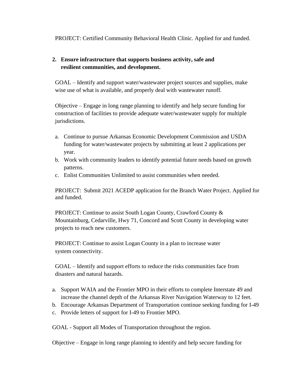PROJECT: Certified Community Behavioral Health Clinic. Applied for and funded.

#### **2. Ensure infrastructure that supports business activity, safe and resilient communities, and development.**

GOAL – Identify and support water/wastewater project sources and supplies, make wise use of what is available, and properly deal with wastewater runoff.

Objective – Engage in long range planning to identify and help secure funding for construction of facilities to provide adequate water/wastewater supply for multiple jurisdictions.

- a. Continue to pursue Arkansas Economic Development Commission and USDA funding for water/wastewater projects by submitting at least 2 applications per year.
- b. Work with community leaders to identify potential future needs based on growth patterns.
- c. Enlist Communities Unlimited to assist communities when needed.

PROJECT: Submit 2021 ACEDP application for the Branch Water Project. Applied for and funded.

PROJECT: Continue to assist South Logan County, Crawford County & Mountainburg, Cedarville, Hwy 71, Concord and Scott County in developing water projects to reach new customers.

PROJECT: Continue to assist Logan County in a plan to increase water system connectivity.

GOAL – Identify and support efforts to reduce the risks communities face from disasters and natural hazards.

- a. Support WAIA and the Frontier MPO in their efforts to complete Interstate 49 and increase the channel depth of the Arkansas River Navigation Waterway to 12 feet.
- b. Encourage Arkansas Department of Transportation continue seeking funding for I-49
- c. Provide letters of support for I-49 to Frontier MPO.

GOAL - Support all Modes of Transportation throughout the region.

Objective – Engage in long range planning to identify and help secure funding for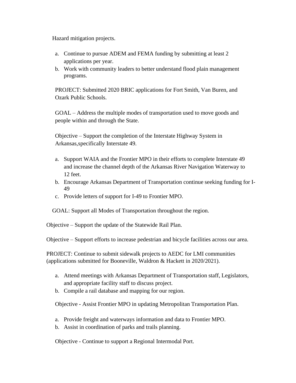Hazard mitigation projects.

- a. Continue to pursue ADEM and FEMA funding by submitting at least 2 applications per year.
- b. Work with community leaders to better understand flood plain management programs.

PROJECT: Submitted 2020 BRIC applications for Fort Smith, Van Buren, and Ozark Public Schools.

GOAL – Address the multiple modes of transportation used to move goods and people within and through the State.

Objective – Support the completion of the Interstate Highway System in Arkansas,specifically Interstate 49.

- a. Support WAIA and the Frontier MPO in their efforts to complete Interstate 49 and increase the channel depth of the Arkansas River Navigation Waterway to 12 feet.
- b. Encourage Arkansas Department of Transportation continue seeking funding for I-49
- c. Provide letters of support for I-49 to Frontier MPO.

GOAL: Support all Modes of Transportation throughout the region.

Objective – Support the update of the Statewide Rail Plan.

Objective – Support efforts to increase pedestrian and bicycle facilities across our area.

PROJECT: Continue to submit sidewalk projects to AEDC for LMI communities (applications submitted for Booneville, Waldron & Hackett in 2020/2021).

- a. Attend meetings with Arkansas Department of Transportation staff, Legislators, and appropriate facility staff to discuss project.
- b. Compile a rail database and mapping for our region.

Objective - Assist Frontier MPO in updating Metropolitan Transportation Plan.

- a. Provide freight and waterways information and data to Frontier MPO.
- b. Assist in coordination of parks and trails planning.

Objective - Continue to support a Regional Intermodal Port.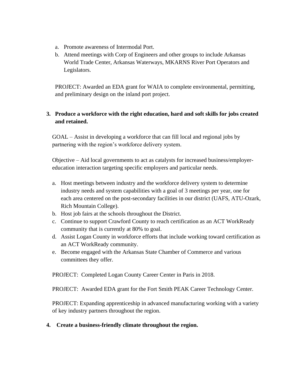- a. Promote awareness of Intermodal Port.
- b. Attend meetings with Corp of Engineers and other groups to include Arkansas World Trade Center, Arkansas Waterways, MKARNS River Port Operators and Legislators.

PROJECT: Awarded an EDA grant for WAIA to complete environmental, permitting, and preliminary design on the inland port project.

#### **3. Produce a workforce with the right education, hard and soft skills for jobs created and retained.**

GOAL – Assist in developing a workforce that can fill local and regional jobs by partnering with the region's workforce delivery system.

Objective – Aid local governments to act as catalysts for increased business/employereducation interaction targeting specific employers and particular needs.

- a. Host meetings between industry and the workforce delivery system to determine industry needs and system capabilities with a goal of 3 meetings per year, one for each area centered on the post-secondary facilities in our district (UAFS, ATU-Ozark, Rich Mountain College).
- b. Host job fairs at the schools throughout the District.
- c. Continue to support Crawford County to reach certification as an ACT WorkReady community that is currently at 80% to goal.
- d. Assist Logan County in workforce efforts that include working toward certification as an ACT WorkReady community.
- e. Become engaged with the Arkansas State Chamber of Commerce and various committees they offer.

PROJECT: Completed Logan County Career Center in Paris in 2018.

PROJECT: Awarded EDA grant for the Fort Smith PEAK Career Technology Center.

PROJECT: Expanding apprenticeship in advanced manufacturing working with a variety of key industry partners throughout the region.

**4. Create a business-friendly climate throughout the region.**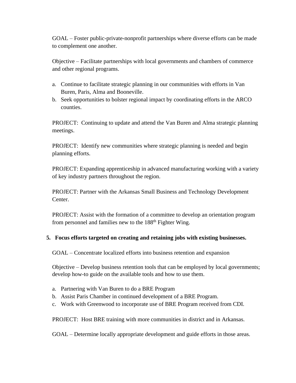GOAL – Foster public-private-nonprofit partnerships where diverse efforts can be made to complement one another.

Objective – Facilitate partnerships with local governments and chambers of commerce and other regional programs.

- a. Continue to facilitate strategic planning in our communities with efforts in Van Buren, Paris, Alma and Booneville.
- b. Seek opportunities to bolster regional impact by coordinating efforts in the ARCO counties.

PROJECT: Continuing to update and attend the Van Buren and Alma strategic planning meetings.

PROJECT: Identify new communities where strategic planning is needed and begin planning efforts.

PROJECT: Expanding apprenticeship in advanced manufacturing working with a variety of key industry partners throughout the region.

PROJECT: Partner with the Arkansas Small Business and Technology Development Center.

PROJECT: Assist with the formation of a committee to develop an orientation program from personnel and families new to the 188<sup>th</sup> Fighter Wing.

#### **5. Focus efforts targeted on creating and retaining jobs with existing businesses.**

GOAL – Concentrate localized efforts into business retention and expansion

Objective – Develop business retention tools that can be employed by local governments; develop how-to guide on the available tools and how to use them.

- a. Partnering with Van Buren to do a BRE Program
- b. Assist Paris Chamber in continued development of a BRE Program.
- c. Work with Greenwood to incorporate use of BRE Program received from CDI.

PROJECT: Host BRE training with more communities in district and in Arkansas.

GOAL – Determine locally appropriate development and guide efforts in those areas.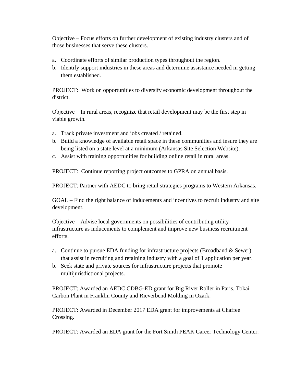Objective – Focus efforts on further development of existing industry clusters and of those businesses that serve these clusters.

- a. Coordinate efforts of similar production types throughout the region.
- b. Identify support industries in these areas and determine assistance needed in getting them established.

PROJECT: Work on opportunities to diversify economic development throughout the district.

Objective – In rural areas, recognize that retail development may be the first step in viable growth.

- a. Track private investment and jobs created / retained.
- b. Build a knowledge of available retail space in these communities and insure they are being listed on a state level at a minimum (Arkansas Site Selection Website).
- c. Assist with training opportunities for building online retail in rural areas.

PROJECT: Continue reporting project outcomes to GPRA on annual basis.

PROJECT: Partner with AEDC to bring retail strategies programs to Western Arkansas.

GOAL – Find the right balance of inducements and incentives to recruit industry and site development.

Objective – Advise local governments on possibilities of contributing utility infrastructure as inducements to complement and improve new business recruitment efforts.

- a. Continue to pursue EDA funding for infrastructure projects (Broadband & Sewer) that assist in recruiting and retaining industry with a goal of 1 application per year.
- b. Seek state and private sources for infrastructure projects that promote multijurisdictional projects.

PROJECT: Awarded an AEDC CDBG-ED grant for Big River Roller in Paris. Tokai Carbon Plant in Franklin County and Rieverbend Molding in Ozark.

PROJECT: Awarded in December 2017 EDA grant for improvements at Chaffee Crossing.

PROJECT: Awarded an EDA grant for the Fort Smith PEAK Career Technology Center.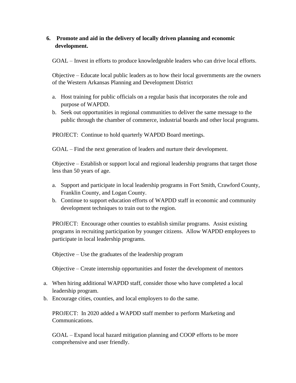#### **6. Promote and aid in the delivery of locally driven planning and economic development.**

GOAL – Invest in efforts to produce knowledgeable leaders who can drive local efforts.

Objective – Educate local public leaders as to how their local governments are the owners of the Western Arkansas Planning and Development District

- a. Host training for public officials on a regular basis that incorporates the role and purpose of WAPDD.
- b. Seek out opportunities in regional communities to deliver the same message to the public through the chamber of commerce, industrial boards and other local programs.

PROJECT: Continue to hold quarterly WAPDD Board meetings.

GOAL – Find the next generation of leaders and nurture their development.

Objective – Establish or support local and regional leadership programs that target those less than 50 years of age.

- a. Support and participate in local leadership programs in Fort Smith, Crawford County, Franklin County, and Logan County.
- b. Continue to support education efforts of WAPDD staff in economic and community development techniques to train out to the region.

PROJECT: Encourage other counties to establish similar programs. Assist existing programs in recruiting participation by younger citizens. Allow WAPDD employees to participate in local leadership programs.

Objective – Use the graduates of the leadership program

Objective – Create internship opportunities and foster the development of mentors

- a. When hiring additional WAPDD staff, consider those who have completed a local leadership program.
- b. Encourage cities, counties, and local employers to do the same.

PROJECT: In 2020 added a WAPDD staff member to perform Marketing and Communications.

GOAL – Expand local hazard mitigation planning and COOP efforts to be more comprehensive and user friendly.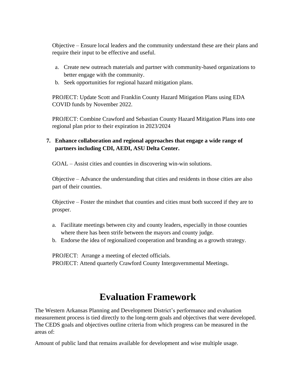Objective – Ensure local leaders and the community understand these are their plans and require their input to be effective and useful.

- a. Create new outreach materials and partner with community-based organizations to better engage with the community.
- b. Seek opportunities for regional hazard mitigation plans.

PROJECT: Update Scott and Franklin County Hazard Mitigation Plans using EDA COVID funds by November 2022.

PROJECT: Combine Crawford and Sebastian County Hazard Mitigation Plans into one regional plan prior to their expiration in 2023/2024

#### **7. Enhance collaboration and regional approaches that engage a wide range of partners including CDI, AEDI, ASU Delta Center.**

GOAL – Assist cities and counties in discovering win-win solutions.

Objective – Advance the understanding that cities and residents in those cities are also part of their counties.

Objective – Foster the mindset that counties and cities must both succeed if they are to prosper.

- a. Facilitate meetings between city and county leaders, especially in those counties where there has been strife between the mayors and county judge.
- b. Endorse the idea of regionalized cooperation and branding as a growth strategy.

PROJECT: Arrange a meeting of elected officials. PROJECT: Attend quarterly Crawford County Intergovernmental Meetings.

### **Evaluation Framework**

The Western Arkansas Planning and Development District's performance and evaluation measurement process is tied directly to the long-term goals and objectives that were developed. The CEDS goals and objectives outline criteria from which progress can be measured in the areas of:

Amount of public land that remains available for development and wise multiple usage.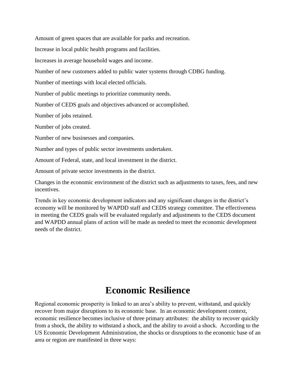Amount of green spaces that are available for parks and recreation.

Increase in local public health programs and facilities.

Increases in average household wages and income.

Number of new customers added to public water systems through CDBG funding.

Number of meetings with local elected officials.

Number of public meetings to prioritize community needs.

Number of CEDS goals and objectives advanced or accomplished.

Number of jobs retained.

Number of jobs created.

Number of new businesses and companies.

Number and types of public sector investments undertaken.

Amount of Federal, state, and local investment in the district.

Amount of private sector investments in the district.

Changes in the economic environment of the district such as adjustments to taxes, fees, and new incentives.

Trends in key economic development indicators and any significant changes in the district's economy will be monitored by WAPDD staff and CEDS strategy committee. The effectiveness in meeting the CEDS goals will be evaluated regularly and adjustments to the CEDS document and WAPDD annual plans of action will be made as needed to meet the economic development needs of the district.

### **Economic Resilience**

Regional economic prosperity is linked to an area's ability to prevent, withstand, and quickly recover from major disruptions to its economic base. In an economic development context, economic resilience becomes inclusive of three primary attributes: the ability to recover quickly from a shock, the ability to withstand a shock, and the ability to avoid a shock. According to the US Economic Development Administration, the shocks or disruptions to the economic base of an area or region are manifested in three ways: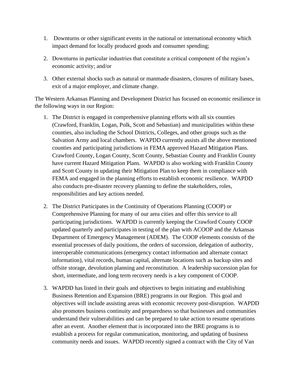- 1. Downturns or other significant events in the national or international economy which impact demand for locally produced goods and consumer spending;
- 2. Downturns in particular industries that constitute a critical component of the region's economic activity; and/or
- 3. Other external shocks such as natural or manmade disasters, closures of military bases, exit of a major employer, and climate change.

The Western Arkansas Planning and Development District has focused on economic resilience in the following ways in our Region:

- 1. The District is engaged in comprehensive planning efforts with all six counties (Crawford, Franklin, Logan, Polk, Scott and Sebastian) and municipalities within these counties, also including the School Districts, Colleges, and other groups such as the Salvation Army and local chambers. WAPDD currently assists all the above mentioned counties and participating jurisdictions in FEMA approved Hazard Mitigation Plans. Crawford County, Logan County, Scott County, Sebastian County and Franklin County have current Hazard Mitigation Plans. WAPDD is also working with Franklin County and Scott County in updating their Mitigation Plan to keep them in compliance with FEMA and engaged in the planning efforts to establish economic resilience. WAPDD also conducts pre-disaster recovery planning to define the stakeholders, roles, responsibilities and key actions needed.
- 2. The District Participates in the Continuity of Operations Planning (COOP) or Comprehensive Planning for many of our area cities and offer this service to all participating jurisdictions. WAPDD is currently keeping the Crawford County COOP updated quarterly and participates in testing of the plan with ACOOP and the Arkansas Department of Emergency Management (ADEM). The COOP elements consists of the essential processes of daily positions, the orders of succession, delegation of authority, interoperable communications (emergency contact information and alternate contact information), vital records, human capital, alternate locations such as backup sites and offsite storage, devolution planning and reconstitution. A leadership succession plan for short, intermediate, and long term recovery needs is a key component of COOP.
- 3. WAPDD has listed in their goals and objectives to begin initiating and establishing Business Retention and Expansion (BRE) programs in our Region. This goal and objectives will include assisting areas with economic recovery post-disruption. WAPDD also promotes business continuity and preparedness so that businesses and communities understand their vulnerabilities and can be prepared to take action to resume operations after an event. Another element that is incorporated into the BRE programs is to establish a process for regular communication, monitoring, and updating of business community needs and issues. WAPDD recently signed a contract with the City of Van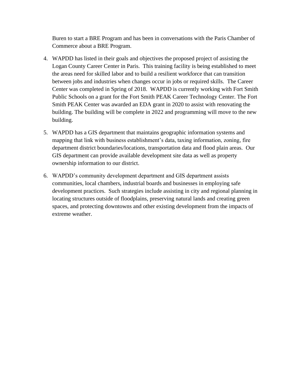Buren to start a BRE Program and has been in conversations with the Paris Chamber of Commerce about a BRE Program.

- 4. WAPDD has listed in their goals and objectives the proposed project of assisting the Logan County Career Center in Paris. This training facility is being established to meet the areas need for skilled labor and to build a resilient workforce that can transition between jobs and industries when changes occur in jobs or required skills. The Career Center was completed in Spring of 2018. WAPDD is currently working with Fort Smith Public Schools on a grant for the Fort Smith PEAK Career Technology Center. The Fort Smith PEAK Center was awarded an EDA grant in 2020 to assist with renovating the building. The building will be complete in 2022 and programming will move to the new building.
- 5. WAPDD has a GIS department that maintains geographic information systems and mapping that link with business establishment's data, taxing information, zoning, fire department district boundaries/locations, transportation data and flood plain areas. Our GIS department can provide available development site data as well as property ownership information to our district.
- 6. WAPDD's community development department and GIS department assists communities, local chambers, industrial boards and businesses in employing safe development practices. Such strategies include assisting in city and regional planning in locating structures outside of floodplains, preserving natural lands and creating green spaces, and protecting downtowns and other existing development from the impacts of extreme weather.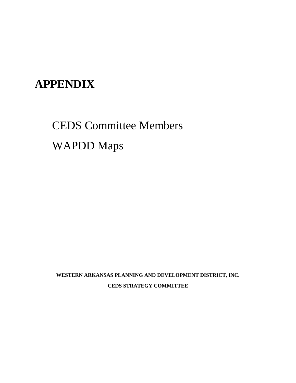## **APPENDIX**

# CEDS Committee Members WAPDD Maps

**WESTERN ARKANSAS PLANNING AND DEVELOPMENT DISTRICT, INC. CEDS STRATEGY COMMITTEE**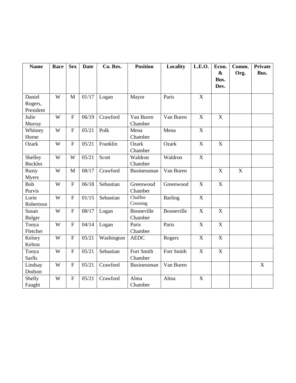| <b>Name</b>          | Race | <b>Sex</b>     | <b>Date</b> | Co. Res.   | <b>Position</b>  | Locality       | <b>L.E.O.</b>         | Econ.                             | Comm. | <b>Private</b> |
|----------------------|------|----------------|-------------|------------|------------------|----------------|-----------------------|-----------------------------------|-------|----------------|
|                      |      |                |             |            |                  |                |                       | $\boldsymbol{\&}$<br>Bus.<br>Dev. | Org.  | Bus.           |
| Daniel               | W    | M              | 01/17       | Logan      | Mayor            | Paris          | $\mathbf X$           |                                   |       |                |
| Rogers,<br>President |      |                |             |            |                  |                |                       |                                   |       |                |
| Julie                | W    | $\overline{F}$ | 06/19       | Crawford   | Van Buren        | Van Buren      | X                     | X                                 |       |                |
| Murray               |      |                |             |            | Chamber          |                |                       |                                   |       |                |
| Whitney              | W    | $\overline{F}$ | 05/21       | Polk       | Mena             | Mena           | $\mathbf X$           |                                   |       |                |
| Horne                |      |                |             |            | Chamber          |                |                       |                                   |       |                |
| Ozark                | W    | $\overline{F}$ | 05/21       | Franklin   | Ozark<br>Chamber | Ozark          | $\mathbf X$           | X                                 |       |                |
| Shelley              | W    | W              | 05/21       | Scott      | Waldron          | Waldron        | $\mathbf X$           |                                   |       |                |
| <b>Buckles</b>       |      |                |             |            | Chamber          |                |                       |                                   |       |                |
| <b>Rusty</b>         | W    | M              | 08/17       | Crawford   | Businessman      | Van Buren      |                       | X                                 | X     |                |
| <b>Myers</b>         |      |                |             |            |                  |                |                       |                                   |       |                |
| Bob                  | W    | ${\bf F}$      | 06/18       | Sebastian  | Greenwood        | Greenwood      | $\mathbf X$           | $\mathbf X$                       |       |                |
| Purvis               |      |                |             |            | Chamber          |                |                       |                                   |       |                |
| Lorie                | W    | $\overline{F}$ | 01/15       | Sebastian  | Chaffee          | <b>Barling</b> | $\mathbf X$           |                                   |       |                |
| Robertson            |      |                |             |            | Crossing         |                |                       |                                   |       |                |
| Susan                | W    | $\mathbf{F}$   | 08/17       | Logan      | Booneville       | Booneville     | $\overline{\text{X}}$ | X                                 |       |                |
| Bulger               |      |                |             |            | Chamber          |                |                       |                                   |       |                |
| Tonya                | W    | $\overline{F}$ | 04/14       | Logan      | Paris            | Paris          | X                     | $\mathbf X$                       |       |                |
| Fletcher             |      |                |             |            | Chamber          |                |                       |                                   |       |                |
| Kelsey               | W    | ${\bf F}$      | 05/21       | Washington | <b>AEDC</b>      | Rogers         | $\mathbf X$           | $\mathbf X$                       |       |                |
| Kelton               |      |                |             |            |                  |                |                       |                                   |       |                |
| Tonya                | W    | $\overline{F}$ | 05/21       | Sebastian  | Fort Smith       | Fort Smith     | $\mathbf X$           | $\mathbf X$                       |       |                |
| <b>Sarlls</b>        |      |                |             |            | Chamber          |                |                       |                                   |       |                |
| Lindsay              | W    | ${\bf F}$      | 05/21       | Crawford   | Businessman      | Van Buren      |                       |                                   |       | $\mathbf X$    |
| Dodson               |      |                |             |            |                  |                |                       |                                   |       |                |
| Shelly               | W    | ${\bf F}$      | 05/21       | Crawford   | Alma             | Alma           | $\mathbf X$           |                                   |       |                |
| Faught               |      |                |             |            | Chamber          |                |                       |                                   |       |                |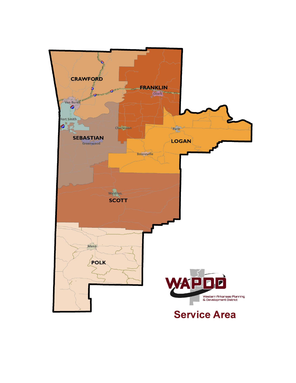